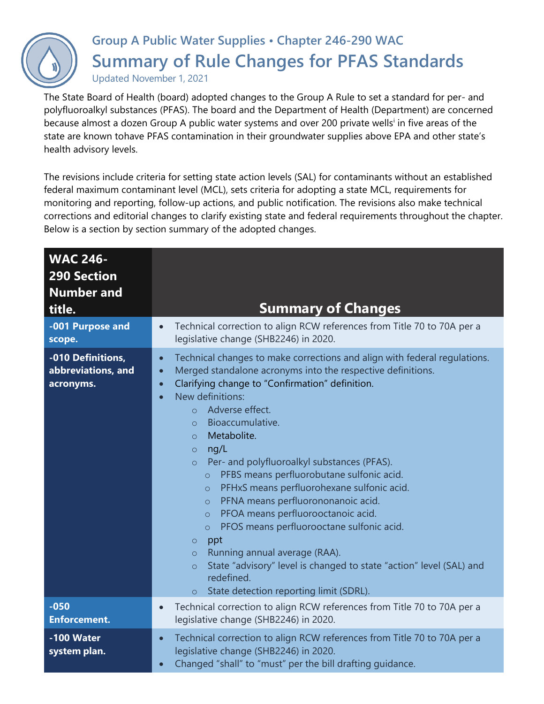

## **Group A Public Water Supplies • Chapter 246-290 WAC Summary of Rule Changes for PFAS Standards**

Updated November 1, 2021

The State Board of Health (board) adopted changes to the Group A Rule to set a standard for per- and polyfluoroalkyl substances (PFAS). The board and the Department of Health (Department) are concerned because almost a dozen Group A public water systems and over 200 private wells<sup>i</sup> in five areas of the state are known tohave PFAS contamination in their groundwater supplies above EPA and other state's health advisory levels.

The revisions include criteria for setting state action levels (SAL) for contaminants without an established federal maximum contaminant level (MCL), sets criteria for adopting a state MCL, requirements for monitoring and reporting, follow-up actions, and public notification. The revisions also make technical corrections and editorial changes to clarify existing state and federal requirements throughout the chapter. Below is a section by section summary of the adopted changes.

| <b>WAC 246-</b><br><b>290 Section</b><br><b>Number and</b><br>title. | <b>Summary of Changes</b>                                                                                                                                                                                                                                                                                                                                                                                                                                                                                                                                                                                                                                                                                                                                                                                                                                                                                                                   |
|----------------------------------------------------------------------|---------------------------------------------------------------------------------------------------------------------------------------------------------------------------------------------------------------------------------------------------------------------------------------------------------------------------------------------------------------------------------------------------------------------------------------------------------------------------------------------------------------------------------------------------------------------------------------------------------------------------------------------------------------------------------------------------------------------------------------------------------------------------------------------------------------------------------------------------------------------------------------------------------------------------------------------|
| -001 Purpose and<br>scope.                                           | Technical correction to align RCW references from Title 70 to 70A per a<br>$\bullet$<br>legislative change (SHB2246) in 2020.                                                                                                                                                                                                                                                                                                                                                                                                                                                                                                                                                                                                                                                                                                                                                                                                               |
| -010 Definitions,<br>abbreviations, and<br>acronyms.                 | Technical changes to make corrections and align with federal regulations.<br>$\bullet$<br>Merged standalone acronyms into the respective definitions.<br>$\bullet$<br>Clarifying change to "Confirmation" definition.<br>$\bullet$<br>New definitions:<br>$\bullet$<br>Adverse effect.<br>$\Omega$<br>Bioaccumulative.<br>$\bigcirc$<br>Metabolite.<br>$\Omega$<br>ng/L<br>$\circ$<br>Per- and polyfluoroalkyl substances (PFAS).<br>$\circ$<br>PFBS means perfluorobutane sulfonic acid.<br>$\circ$<br>PFHxS means perfluorohexane sulfonic acid.<br>$\circ$<br>PFNA means perfluorononanoic acid.<br>$\circ$<br>PFOA means perfluorooctanoic acid.<br>$\circ$<br>PFOS means perfluorooctane sulfonic acid.<br>$\circ$<br>ppt<br>$\circ$<br>Running annual average (RAA).<br>$\circ$<br>State "advisory" level is changed to state "action" level (SAL) and<br>$\circ$<br>redefined.<br>State detection reporting limit (SDRL).<br>$\circ$ |
| $-050$<br><b>Enforcement.</b>                                        | Technical correction to align RCW references from Title 70 to 70A per a<br>$\bullet$<br>legislative change (SHB2246) in 2020.                                                                                                                                                                                                                                                                                                                                                                                                                                                                                                                                                                                                                                                                                                                                                                                                               |
| -100 Water<br>system plan.                                           | Technical correction to align RCW references from Title 70 to 70A per a<br>$\bullet$<br>legislative change (SHB2246) in 2020.<br>Changed "shall" to "must" per the bill drafting guidance.<br>$\bullet$                                                                                                                                                                                                                                                                                                                                                                                                                                                                                                                                                                                                                                                                                                                                     |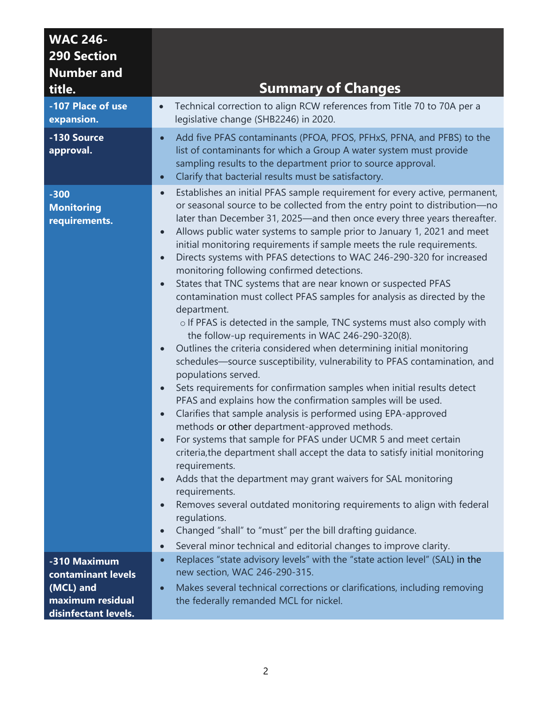| <b>WAC 246-</b><br><b>290 Section</b><br><b>Number and</b><br>title.                        | <b>Summary of Changes</b>                                                                                                                                                                                                                                                                                                                                                                                                                                                                                                                                                                                                                                                                                                                                                                                                                                                                                                                                                                                                                                                                                                                                                                                                                                                                                                                                                                                                                                                                                                                                                                                                                                                                                                                                                                                                                                               |
|---------------------------------------------------------------------------------------------|-------------------------------------------------------------------------------------------------------------------------------------------------------------------------------------------------------------------------------------------------------------------------------------------------------------------------------------------------------------------------------------------------------------------------------------------------------------------------------------------------------------------------------------------------------------------------------------------------------------------------------------------------------------------------------------------------------------------------------------------------------------------------------------------------------------------------------------------------------------------------------------------------------------------------------------------------------------------------------------------------------------------------------------------------------------------------------------------------------------------------------------------------------------------------------------------------------------------------------------------------------------------------------------------------------------------------------------------------------------------------------------------------------------------------------------------------------------------------------------------------------------------------------------------------------------------------------------------------------------------------------------------------------------------------------------------------------------------------------------------------------------------------------------------------------------------------------------------------------------------------|
| -107 Place of use<br>expansion.                                                             | Technical correction to align RCW references from Title 70 to 70A per a<br>$\bullet$<br>legislative change (SHB2246) in 2020.                                                                                                                                                                                                                                                                                                                                                                                                                                                                                                                                                                                                                                                                                                                                                                                                                                                                                                                                                                                                                                                                                                                                                                                                                                                                                                                                                                                                                                                                                                                                                                                                                                                                                                                                           |
| -130 Source<br>approval.                                                                    | Add five PFAS contaminants (PFOA, PFOS, PFHxS, PFNA, and PFBS) to the<br>$\bullet$<br>list of contaminants for which a Group A water system must provide<br>sampling results to the department prior to source approval.<br>Clarify that bacterial results must be satisfactory.<br>$\bullet$                                                                                                                                                                                                                                                                                                                                                                                                                                                                                                                                                                                                                                                                                                                                                                                                                                                                                                                                                                                                                                                                                                                                                                                                                                                                                                                                                                                                                                                                                                                                                                           |
| $-300$<br><b>Monitoring</b><br>requirements.                                                | Establishes an initial PFAS sample requirement for every active, permanent,<br>$\bullet$<br>or seasonal source to be collected from the entry point to distribution-no<br>later than December 31, 2025—and then once every three years thereafter.<br>Allows public water systems to sample prior to January 1, 2021 and meet<br>$\bullet$<br>initial monitoring requirements if sample meets the rule requirements.<br>Directs systems with PFAS detections to WAC 246-290-320 for increased<br>$\bullet$<br>monitoring following confirmed detections.<br>States that TNC systems that are near known or suspected PFAS<br>$\bullet$<br>contamination must collect PFAS samples for analysis as directed by the<br>department.<br>o If PFAS is detected in the sample, TNC systems must also comply with<br>the follow-up requirements in WAC 246-290-320(8).<br>Outlines the criteria considered when determining initial monitoring<br>$\bullet$<br>schedules—source susceptibility, vulnerability to PFAS contamination, and<br>populations served.<br>Sets requirements for confirmation samples when initial results detect<br>$\bullet$<br>PFAS and explains how the confirmation samples will be used.<br>Clarifies that sample analysis is performed using EPA-approved<br>methods or other department-approved methods.<br>For systems that sample for PFAS under UCMR 5 and meet certain<br>criteria, the department shall accept the data to satisfy initial monitoring<br>requirements.<br>Adds that the department may grant waivers for SAL monitoring<br>$\bullet$<br>requirements.<br>Removes several outdated monitoring requirements to align with federal<br>$\bullet$<br>regulations.<br>Changed "shall" to "must" per the bill drafting quidance.<br>$\bullet$<br>Several minor technical and editorial changes to improve clarity.<br>$\bullet$ |
| -310 Maximum<br>contaminant levels<br>(MCL) and<br>maximum residual<br>disinfectant levels. | Replaces "state advisory levels" with the "state action level" (SAL) in the<br>$\bullet$<br>new section, WAC 246-290-315.<br>Makes several technical corrections or clarifications, including removing<br>$\bullet$<br>the federally remanded MCL for nickel.                                                                                                                                                                                                                                                                                                                                                                                                                                                                                                                                                                                                                                                                                                                                                                                                                                                                                                                                                                                                                                                                                                                                                                                                                                                                                                                                                                                                                                                                                                                                                                                                           |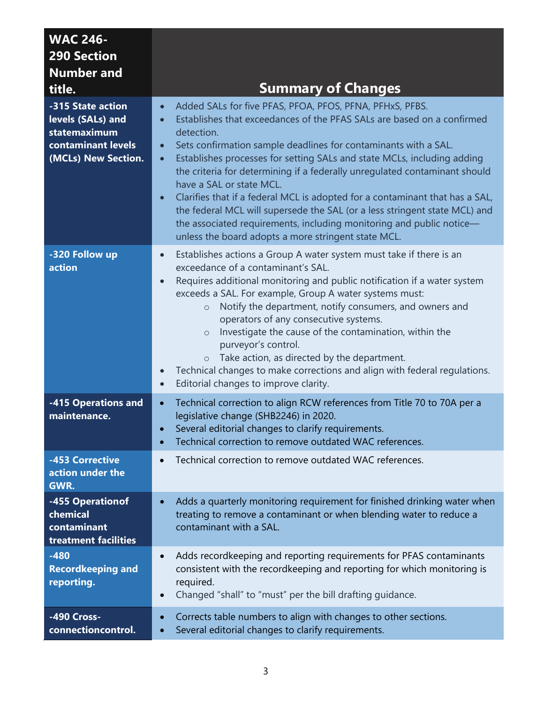| <b>WAC 246-</b><br><b>290 Section</b><br><b>Number and</b><br>title.                                | <b>Summary of Changes</b>                                                                                                                                                                                                                                                                                                                                                                                                                                                                                                                                                                                                                                                                                                                                 |
|-----------------------------------------------------------------------------------------------------|-----------------------------------------------------------------------------------------------------------------------------------------------------------------------------------------------------------------------------------------------------------------------------------------------------------------------------------------------------------------------------------------------------------------------------------------------------------------------------------------------------------------------------------------------------------------------------------------------------------------------------------------------------------------------------------------------------------------------------------------------------------|
| -315 State action<br>levels (SALs) and<br>statemaximum<br>contaminant levels<br>(MCLs) New Section. | Added SALs for five PFAS, PFOA, PFOS, PFNA, PFHxS, PFBS.<br>$\bullet$<br>Establishes that exceedances of the PFAS SALs are based on a confirmed<br>detection.<br>Sets confirmation sample deadlines for contaminants with a SAL.<br>$\bullet$<br>Establishes processes for setting SALs and state MCLs, including adding<br>$\bullet$<br>the criteria for determining if a federally unregulated contaminant should<br>have a SAL or state MCL.<br>Clarifies that if a federal MCL is adopted for a contaminant that has a SAL,<br>$\bullet$<br>the federal MCL will supersede the SAL (or a less stringent state MCL) and<br>the associated requirements, including monitoring and public notice-<br>unless the board adopts a more stringent state MCL. |
| -320 Follow up<br>action                                                                            | Establishes actions a Group A water system must take if there is an<br>$\bullet$<br>exceedance of a contaminant's SAL.<br>Requires additional monitoring and public notification if a water system<br>$\bullet$<br>exceeds a SAL. For example, Group A water systems must:<br>Notify the department, notify consumers, and owners and<br>$\circ$<br>operators of any consecutive systems.<br>Investigate the cause of the contamination, within the<br>$\circ$<br>purveyor's control.<br>Take action, as directed by the department.<br>$\circ$<br>Technical changes to make corrections and align with federal regulations.<br>$\bullet$<br>Editorial changes to improve clarity.<br>$\bullet$                                                           |
| -415 Operations and<br>maintenance.                                                                 | Technical correction to align RCW references from Title 70 to 70A per a<br>$\bullet$<br>legislative change (SHB2246) in 2020.<br>Several editorial changes to clarify requirements.<br>Technical correction to remove outdated WAC references.<br>$\bullet$                                                                                                                                                                                                                                                                                                                                                                                                                                                                                               |
| -453 Corrective<br>action under the<br>GWR.                                                         | Technical correction to remove outdated WAC references.<br>$\bullet$                                                                                                                                                                                                                                                                                                                                                                                                                                                                                                                                                                                                                                                                                      |
| -455 Operationof<br>chemical<br>contaminant<br>treatment facilities                                 | Adds a quarterly monitoring requirement for finished drinking water when<br>$\bullet$<br>treating to remove a contaminant or when blending water to reduce a<br>contaminant with a SAL.                                                                                                                                                                                                                                                                                                                                                                                                                                                                                                                                                                   |
| $-480$<br><b>Recordkeeping and</b><br>reporting.                                                    | Adds recordkeeping and reporting requirements for PFAS contaminants<br>$\bullet$<br>consistent with the recordkeeping and reporting for which monitoring is<br>required.<br>Changed "shall" to "must" per the bill drafting guidance.<br>$\bullet$                                                                                                                                                                                                                                                                                                                                                                                                                                                                                                        |
| -490 Cross-<br>connectioncontrol.                                                                   | Corrects table numbers to align with changes to other sections.<br>$\bullet$<br>Several editorial changes to clarify requirements.<br>$\bullet$                                                                                                                                                                                                                                                                                                                                                                                                                                                                                                                                                                                                           |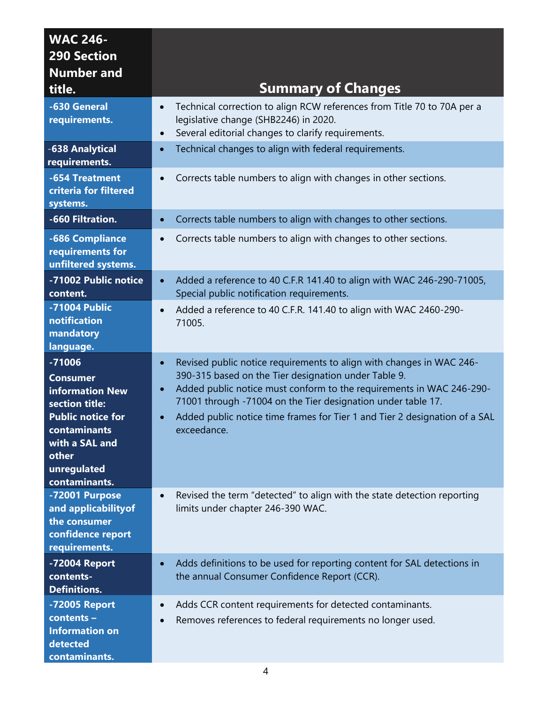| <b>WAC 246-</b><br><b>290 Section</b><br><b>Number and</b><br>title.                                                                                                    | <b>Summary of Changes</b>                                                                                                                                                                                                                                                                                                                                                                                |
|-------------------------------------------------------------------------------------------------------------------------------------------------------------------------|----------------------------------------------------------------------------------------------------------------------------------------------------------------------------------------------------------------------------------------------------------------------------------------------------------------------------------------------------------------------------------------------------------|
| -630 General<br>requirements.                                                                                                                                           | Technical correction to align RCW references from Title 70 to 70A per a<br>$\bullet$<br>legislative change (SHB2246) in 2020.<br>Several editorial changes to clarify requirements.<br>$\bullet$                                                                                                                                                                                                         |
| -638 Analytical<br>requirements.                                                                                                                                        | Technical changes to align with federal requirements.<br>$\bullet$                                                                                                                                                                                                                                                                                                                                       |
| -654 Treatment<br>criteria for filtered<br>systems.                                                                                                                     | Corrects table numbers to align with changes in other sections.<br>$\bullet$                                                                                                                                                                                                                                                                                                                             |
| -660 Filtration.                                                                                                                                                        | Corrects table numbers to align with changes to other sections.<br>$\bullet$                                                                                                                                                                                                                                                                                                                             |
| -686 Compliance<br>requirements for<br>unfiltered systems.                                                                                                              | Corrects table numbers to align with changes to other sections.                                                                                                                                                                                                                                                                                                                                          |
| -71002 Public notice<br>content.                                                                                                                                        | Added a reference to 40 C.F.R 141.40 to align with WAC 246-290-71005,<br>$\bullet$<br>Special public notification requirements.                                                                                                                                                                                                                                                                          |
| -71004 Public<br>notification<br>mandatory<br>language.                                                                                                                 | Added a reference to 40 C.F.R. 141.40 to align with WAC 2460-290-<br>$\bullet$<br>71005.                                                                                                                                                                                                                                                                                                                 |
| $-71006$<br><b>Consumer</b><br>information New<br>section title:<br><b>Public notice for</b><br>contaminants<br>with a SAL and<br>other<br>unregulated<br>contaminants. | Revised public notice requirements to align with changes in WAC 246-<br>$\bullet$<br>390-315 based on the Tier designation under Table 9.<br>Added public notice must conform to the requirements in WAC 246-290-<br>$\bullet$<br>71001 through -71004 on the Tier designation under table 17.<br>Added public notice time frames for Tier 1 and Tier 2 designation of a SAL<br>$\bullet$<br>exceedance. |
| -72001 Purpose<br>and applicability of<br>the consumer<br>confidence report<br>requirements.                                                                            | Revised the term "detected" to align with the state detection reporting<br>$\bullet$<br>limits under chapter 246-390 WAC.                                                                                                                                                                                                                                                                                |
| -72004 Report<br>contents-<br><b>Definitions.</b>                                                                                                                       | Adds definitions to be used for reporting content for SAL detections in<br>$\bullet$<br>the annual Consumer Confidence Report (CCR).                                                                                                                                                                                                                                                                     |
| -72005 Report<br>contents -<br><b>Information on</b><br>detected<br>contaminants.                                                                                       | Adds CCR content requirements for detected contaminants.<br>$\bullet$<br>Removes references to federal requirements no longer used.<br>$\bullet$                                                                                                                                                                                                                                                         |